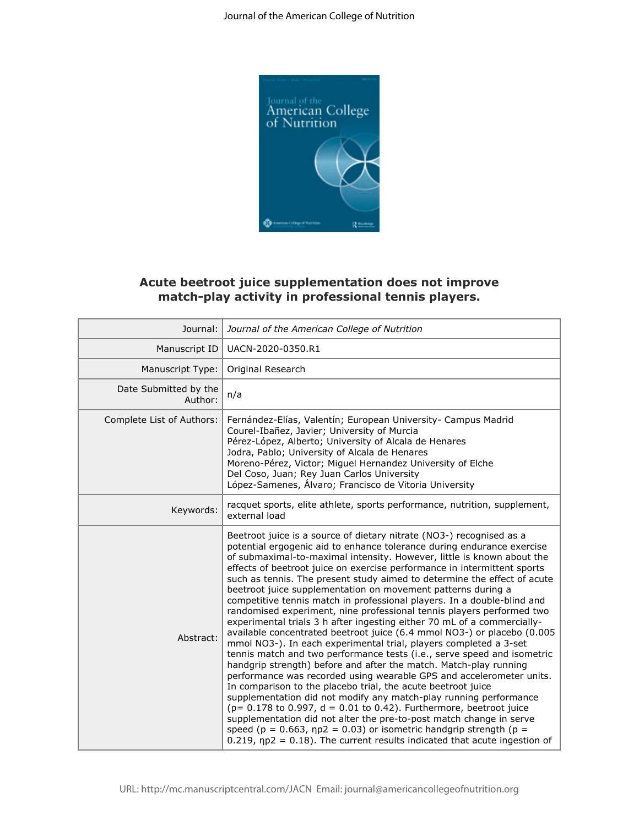

## **Acute beetroot juice supplementation does not improve match-play activity in professional tennis players.**

|                                  | Acute beetroot juice supplementation does not improve<br>match-play activity in professional tennis players.                                                                                                                                                                                                                                                                                                                                                                                                                                                                                                                                                                                                                                                                                                                                                                                                                                                                                                                                                                                                                                                                                                                                                                                                                                                                                                                                                                                                   |
|----------------------------------|----------------------------------------------------------------------------------------------------------------------------------------------------------------------------------------------------------------------------------------------------------------------------------------------------------------------------------------------------------------------------------------------------------------------------------------------------------------------------------------------------------------------------------------------------------------------------------------------------------------------------------------------------------------------------------------------------------------------------------------------------------------------------------------------------------------------------------------------------------------------------------------------------------------------------------------------------------------------------------------------------------------------------------------------------------------------------------------------------------------------------------------------------------------------------------------------------------------------------------------------------------------------------------------------------------------------------------------------------------------------------------------------------------------------------------------------------------------------------------------------------------------|
| Journal:                         | Journal of the American College of Nutrition                                                                                                                                                                                                                                                                                                                                                                                                                                                                                                                                                                                                                                                                                                                                                                                                                                                                                                                                                                                                                                                                                                                                                                                                                                                                                                                                                                                                                                                                   |
| Manuscript ID                    | UACN-2020-0350.R1                                                                                                                                                                                                                                                                                                                                                                                                                                                                                                                                                                                                                                                                                                                                                                                                                                                                                                                                                                                                                                                                                                                                                                                                                                                                                                                                                                                                                                                                                              |
| Manuscript Type:                 | Original Research                                                                                                                                                                                                                                                                                                                                                                                                                                                                                                                                                                                                                                                                                                                                                                                                                                                                                                                                                                                                                                                                                                                                                                                                                                                                                                                                                                                                                                                                                              |
| Date Submitted by the<br>Author: | n/a                                                                                                                                                                                                                                                                                                                                                                                                                                                                                                                                                                                                                                                                                                                                                                                                                                                                                                                                                                                                                                                                                                                                                                                                                                                                                                                                                                                                                                                                                                            |
| Complete List of Authors:        | Fernández-Elías, Valentín; European University- Campus Madrid<br>Courel-Ibañez, Javier; University of Murcia<br>Pérez-López, Alberto; University of Alcala de Henares<br>Jodra, Pablo; University of Alcala de Henares<br>Moreno-Pérez, Victor; Miguel Hernandez University of Elche<br>Del Coso, Juan; Rey Juan Carlos University<br>López-Samenes, Álvaro; Francisco de Vitoria University                                                                                                                                                                                                                                                                                                                                                                                                                                                                                                                                                                                                                                                                                                                                                                                                                                                                                                                                                                                                                                                                                                                   |
| Keywords:                        | racquet sports, elite athlete, sports performance, nutrition, supplement,<br>external load                                                                                                                                                                                                                                                                                                                                                                                                                                                                                                                                                                                                                                                                                                                                                                                                                                                                                                                                                                                                                                                                                                                                                                                                                                                                                                                                                                                                                     |
| Abstract:                        | Beetroot juice is a source of dietary nitrate (NO3-) recognised as a<br>potential ergogenic aid to enhance tolerance during endurance exercise<br>of submaximal-to-maximal intensity. However, little is known about the<br>effects of beetroot juice on exercise performance in intermittent sports<br>such as tennis. The present study aimed to determine the effect of acute<br>beetroot juice supplementation on movement patterns during a<br>competitive tennis match in professional players. In a double-blind and<br>randomised experiment, nine professional tennis players performed two<br>experimental trials 3 h after ingesting either 70 mL of a commercially-<br>available concentrated beetroot juice (6.4 mmol NO3-) or placebo (0.005<br>mmol NO3-). In each experimental trial, players completed a 3-set<br>tennis match and two performance tests (i.e., serve speed and isometric<br>handgrip strength) before and after the match. Match-play running<br>performance was recorded using wearable GPS and accelerometer units.<br>In comparison to the placebo trial, the acute beetroot juice<br>supplementation did not modify any match-play running performance<br>( $p = 0.178$ to 0.997, $d = 0.01$ to 0.42). Furthermore, beetroot juice<br>supplementation did not alter the pre-to-post match change in serve<br>speed ( $p = 0.663$ , $np2 = 0.03$ ) or isometric handgrip strength ( $p =$<br>$0.219$ , np2 = 0.18). The current results indicated that acute ingestion of |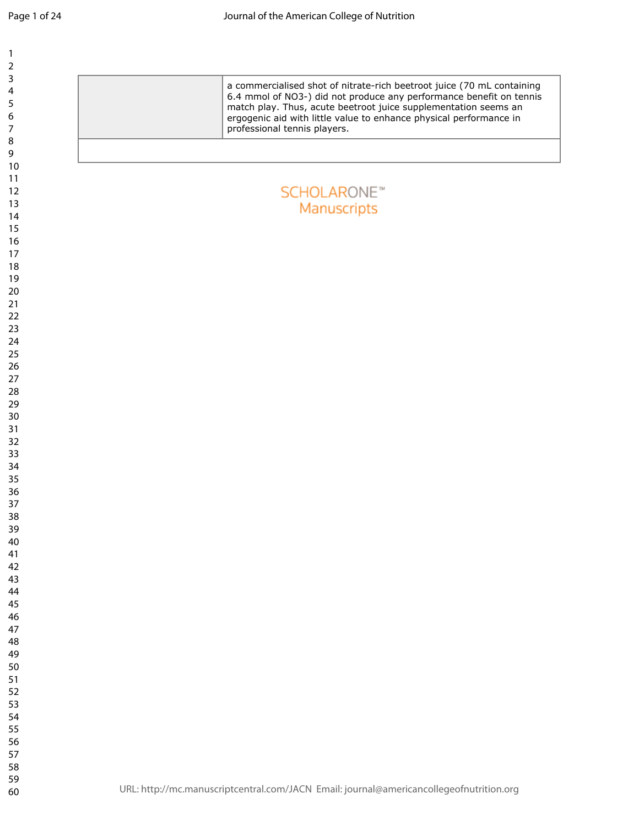**SCHOLARONE™** Manuscripts

professional tennis players.

a commercialised shot of nitrate-rich beetroot juice (70 mL containing 6.4 mmol of NO3-) did not produce any performance benefit on tennis match play. Thus, acute beetroot juice supplementation seems an ergogenic aid with little value to enhance physical performance in

| 1234567  |                   |
|----------|-------------------|
|          |                   |
|          |                   |
| 8        |                   |
| 9        |                   |
| 10       |                   |
| 11<br>12 |                   |
| 13       |                   |
| 14       |                   |
| 15       |                   |
| 16       |                   |
| 17       |                   |
| 18<br>19 |                   |
| 20       |                   |
| 21       |                   |
| 22       |                   |
| 23       |                   |
| 24<br>25 |                   |
| 26       |                   |
| 27       |                   |
| 28       |                   |
| 29       |                   |
| 30<br>31 |                   |
| 32       |                   |
| 33       |                   |
| 34       |                   |
| 35       |                   |
| 36       |                   |
| 37<br>38 |                   |
| 39       |                   |
| 40       |                   |
| 41       |                   |
| 42       |                   |
| 43<br>44 |                   |
| 45       |                   |
| 46       |                   |
| 47       |                   |
| 48       |                   |
| 49<br>50 |                   |
| 51       |                   |
| 52       |                   |
| 53       |                   |
| 54       |                   |
| 55       |                   |
| 56<br>57 |                   |
| 58       |                   |
| 59       |                   |
| 60       | URL: http://mc.ma |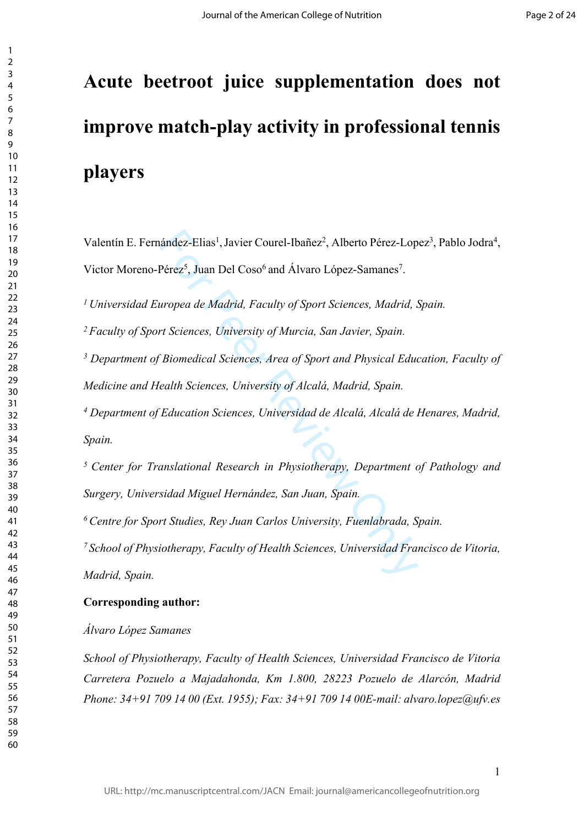# **Acute beetroot juice supplementation does not improve match-play activity in professional tennis players**

rández-Elias<sup>1</sup>, Javier Courel-Ibañez<sup>2</sup>, Alberto Pérez-Lop<br>Pérez<sup>5</sup>, Juan Del Coso<sup>6</sup> and Álvaro López-Samanes<sup>7</sup>.<br>*uropea de Madrid, Faculty of Sport Sciences, Madrid, .<br>rt Sciences, University of Murcia, San Javier, Spa* Valentín E. Fernández-Elias<sup>1</sup>, Javier Courel-Ibañez<sup>2</sup>, Alberto Pérez-Lopez<sup>3</sup>, Pablo Jodra<sup>4</sup>, Victor Moreno-Pérez<sup>5</sup>, Juan Del Coso<sup>6</sup> and Álvaro López-Samanes<sup>7</sup>.

*Universidad Europea de Madrid, Faculty of Sport Sciences, Madrid, Spain.*

*Faculty of Sport Sciences, University of Murcia, San Javier, Spain.*

  *Department of Biomedical Sciences, Area of Sport and Physical Education, Faculty of Medicine and Health Sciences, University of Alcalá, Madrid, Spain.*

  *Department of Education Sciences, Universidad de Alcalá, Alcalá de Henares, Madrid, Spain.*

*Center for Translational Research in Physiotherapy, Department of Pathology and Surgery, Universidad Miguel Hernández, San Juan, Spain.*

*Centre for Sport Studies, Rey Juan Carlos University, Fuenlabrada, Spain.*

*School of Physiotherapy, Faculty of Health Sciences, Universidad Francisco de Vitoria, Madrid, Spain.*

### **Corresponding author:**

*Álvaro López Samanes* 

*School of Physiotherapy, Faculty of Health Sciences, Universidad Francisco de Vitoria Carretera Pozuelo a Majadahonda, Km 1.800, 28223 Pozuelo de Alarcón, Madrid Phone: 34+91 709 14 00 (Ext. 1955); Fax: 34+91 709 14 00E-mail: alvaro.lopez@ufv.es*

 $\mathbf{1}$  $\overline{2}$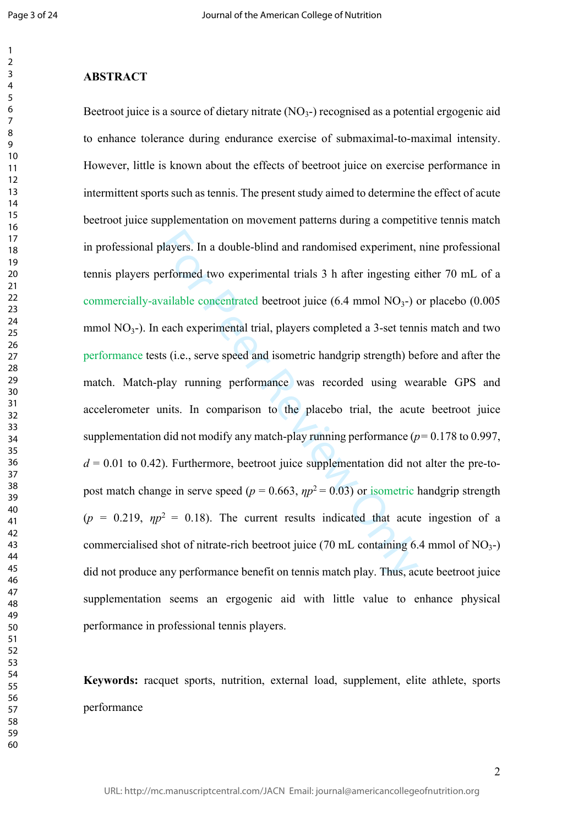#### **ABSTRACT**

blayers. In a double-blind and randomised experiment,<br>erformed two experimental trials 3 h after ingesting e<br>vailable concentrated beetroot juice (6.4 mmol NO<sub>3</sub>-)<br>each experimental trial, players completed a 3-set tenn<br>t Beetroot juice is a source of dietary nitrate (NO<sub>3</sub>-) recognised as a potential ergogenic aid to enhance tolerance during endurance exercise of submaximal-to-maximal intensity. However, little is known about the effects of beetroot juice on exercise performance in intermittent sports such as tennis. The present study aimed to determine the effect of acute beetroot juice supplementation on movement patterns during a competitive tennis match in professional players. In a double-blind and randomised experiment, nine professional tennis players performed two experimental trials 3 h after ingesting either 70 mL of a commercially-available concentrated beetroot juice (6.4 mmol NO <sup>3</sup>-) or placebo (0.005 mmol NO<sub>3</sub>-). In each experimental trial, players completed a 3-set tennis match and two performance tests (i.e., serve speed and isometric handgrip strength) before and after the match. Match-play running performance was recorded using wearable GPS and accelerometer units. In comparison to the placebo trial, the acute beetroot juice supplementation did not modify any match-play running performance ( $p=0.178$  to 0.997,  $d = 0.01$  to 0.42). Furthermore, beetroot juice supplementation did not alter the pre-topost match change in serve speed ( $p = 0.663$ ,  $\eta p^2 = 0.03$ ) or isometric handgrip strength ( $p = 0.219$ ,  $\eta p^2 = 0.18$ ). The current results indicated that acute ingestion of a commercialised shot of nitrate-rich beetroot juice  $(70 \text{ mL containing } 6.4 \text{ mmol of NO}_3-)$ did not produce any performance benefit on tennis match play. Thus, acute beetroot juice supplementation seems an ergogenic aid with little value to enhance physical performance in professional tennis players.

**Keywords:** racquet sports, nutrition, external load, supplement, elite athlete, sports performance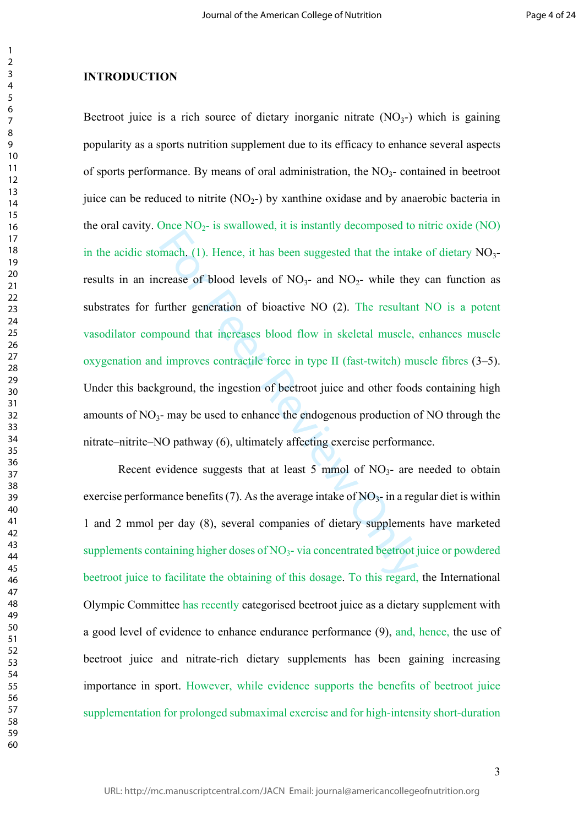#### **INTRODUCTION**

mach. (1). Hence, it has been suggested that the intake<br>crease of blood levels of NO<sub>3</sub>- and NO<sub>2</sub>- while they<br>urther generation of bioactive NO (2). The resultant<br>pound that increases blood flow in skeletal muscle,<br>1 imp Beetroot juice is a rich source of dietary inorganic nitrate  $(NO<sub>3</sub>-)$  which is gaining popularity as a sports nutrition supplement due to its efficacy to enhance several aspects of sports performance. By means of oral administration, the NO <sup>3</sup>- contained in beetroot juice can be reduced to nitrite  $(NO<sub>2</sub>-)$  by xanthine oxidase and by anaerobic bacteria in the oral cavity. Once  $NO<sub>2</sub>$ - is swallowed, it is instantly decomposed to nitric oxide  $(NO)$ in the acidic stomach. (1). Hence, it has been suggested that the intake of dietary NO 3 results in an increase of blood levels of  $NO<sub>3</sub>$ - and  $NO<sub>2</sub>$ - while they can function as substrates for further generation of bioactive NO (2). The resultant NO is a potent vasodilator compound that increases blood flow in skeletal muscle, enhances muscle oxygenation and improves contractile force in type II (fast-twitch) muscle fibres (3–5). Under this background, the ingestion of beetroot juice and other foods containing high amounts of NO <sup>3</sup>- may be used to enhance the endogenous production of NO through the nitrate–nitrite–NO pathway (6), ultimately affecting exercise performance.

Recent evidence suggests that at least 5 mmol of  $NO<sub>3</sub>$ - are needed to obtain exercise performance benefits (7). As the average intake of  $NO<sub>3</sub>$  in a regular diet is within 1 and 2 mmol per day (8), several companies of dietary supplements have marketed supplements containing higher doses of NO <sup>3</sup>- via concentrated beetroot juice or powdered beetroot juice to facilitate the obtaining of this dosage. To this regard, the International Olympic Committee has recently categorised beetroot juice as a dietary supplement with a good level of evidence to enhance endurance performance (9), and, hence, the use of beetroot juice and nitrate-rich dietary supplements has been gaining increasing importance in sport. However, while evidence supports the benefits of beetroot juice supplementation for prolonged submaximal exercise and for high-intensity short-duration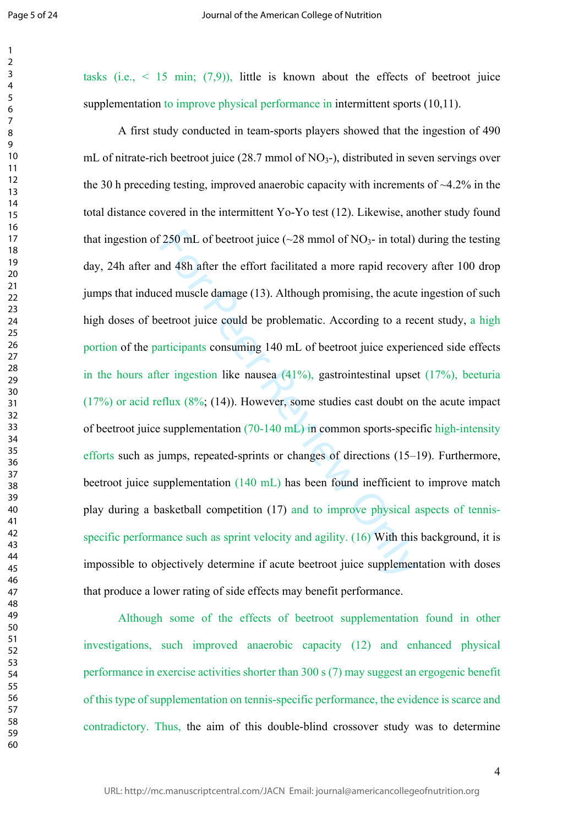$\mathbf{1}$ 

  tasks (i.e.,  $\leq$  15 min; (7,9)), little is known about the effects of beetroot juice supplementation to improve physical performance in intermittent sports (10.11).

250 mL of beetroot juice (~28 mmol of NO<sub>3</sub>- in total)<br>nd 48h after the effort facilitated a more rapid recove<br>eed muscle damage (13). Although promising, the acute<br>eetroot juice could be problematic. According to a rec<br>a A first study conducted in team-sports players showed that the ingestion of 490 mL of nitrate-rich beetroot juice (28.7 mmol of NO <sup>3</sup>-), distributed in seven servings over the 30 h preceding testing, improved anaerobic capacity with increments of  $\sim$ 4.2% in the total distance covered in the intermittent Yo-Yo test (12). Likewise, another study found that ingestion of 250 mL of beetroot juice  $(\sim 28 \text{ mmol of NO}_3)$ - in total) during the testing day, 24h after and 48h after the effort facilitated a more rapid recovery after 100 drop jumps that induced muscle damage (13). Although promising, the acute ingestion of such high doses of beetroot juice could be problematic. According to a recent study, a high portion of the participants consuming 140 mL of beetroot juice experienced side effects in the hours after ingestion like nausea (41%), gastrointestinal upset (17%), beeturia  $(17%)$  or acid reflux  $(8\%; (14))$ . However, some studies cast doubt on the acute impact of beetroot juice supplementation (70-140 mL) in common sports-specific high-intensity efforts such as jumps, repeated-sprints or changes of directions (15–19). Furthermore, beetroot juice supplementation (140 mL) has been found inefficient to improve match play during a basketball competition (17) and to improve physical aspects of tennisspecific performance such as sprint velocity and agility. (16) With this background, it is impossible to objectively determine if acute beetroot juice supplementation with doses that produce a lower rating of side effects may benefit performance.

Although some of the effects of beetroot supplementation found in other investigations, such improved anaerobic capacity (12) and enhanced physical performance in exercise activities shorter than 300 s (7) may suggest an ergogenic benefit of this type of supplementation on tennis-specific performance, the evidence is scarce and contradictory. Thus, the aim of this double-blind crossover study was to determine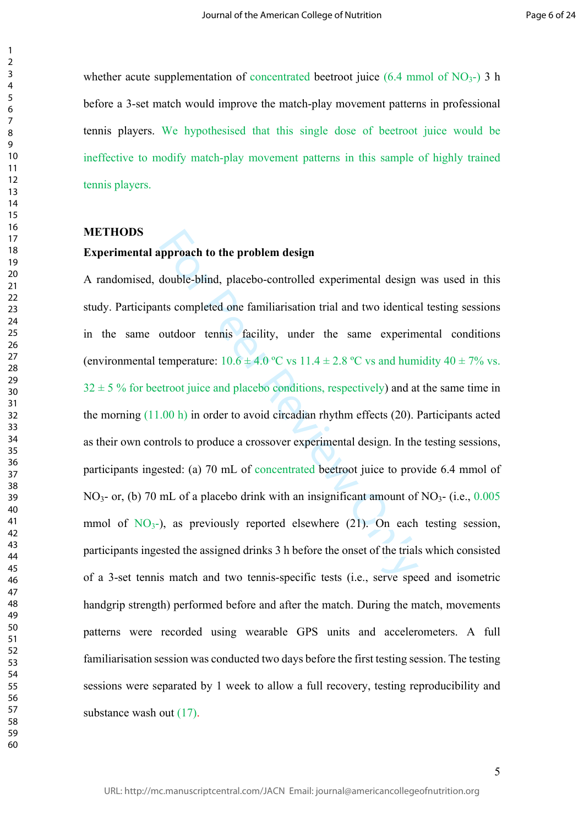whether acute supplementation of concentrated beetroot juice  $(6.4 \text{ mmol of NO}_3)$  3 h before a 3-set match would improve the match-play movement patterns in professional tennis players. We hypothesised that this single dose of beetroot juice would be ineffective to modify match-play movement patterns in this sample of highly trained tennis players.

**METHODS**

#### **Experimental approach to the problem design**

pproach to the problem design<br>double-blind, placebo-controlled experimental design<br>atts completed one familiarisation trial and two identice<br>outdoor tennis facility, under the same experim<br>temperature:  $10.6 \pm 4.0$  °C vs A randomised, double-blind, placebo-controlled experimental design was used in this study. Participants completed one familiarisation trial and two identical testing sessions in the same outdoor tennis facility, under the same experimental conditions (environmental temperature:  $10.6 \pm 4.0$  °C vs  $11.4 \pm 2.8$  °C vs and humidity  $40 \pm 7\%$  vs.  $32 \pm 5$  % for beetroot juice and placebo conditions, respectively) and at the same time in the morning (11.00 h) in order to avoid circadian rhythm effects (20). Participants acted as their own controls to produce a crossover experimental design. In the testing sessions, participants ingested: (a) 70 mL of concentrated beetroot juice to provide 6.4 mmol of NO<sub>3</sub>- or, (b) 70 mL of a placebo drink with an insignificant amount of NO<sub>3</sub>- (i.e., 0.005 mmol of  $NO<sub>3</sub>$ -), as previously reported elsewhere (21). On each testing session, participants ingested the assigned drinks 3 h before the onset of the trials which consisted of a 3-set tennis match and two tennis-specific tests (i.e., serve speed and isometric handgrip strength) performed before and after the match. During the match, movements patterns were recorded using wearable GPS units and accelerometers. A full familiarisation session was conducted two days before the first testing session. The testing sessions were separated by 1 week to allow a full recovery, testing reproducibility and substance wash out  $(17)$ .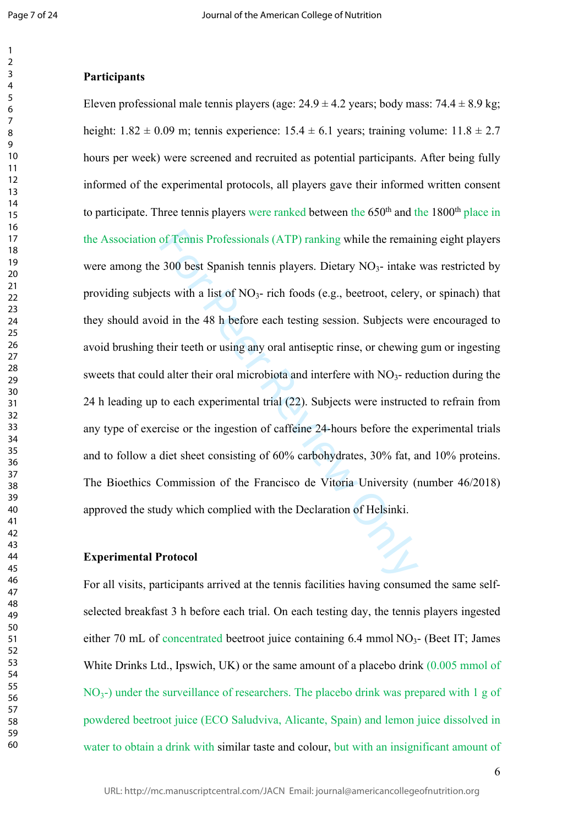#### **Participants**

of Tennis Professionals (ATP) ranking while the remain<br>300 best Spanish tennis players. Dietary  $NO_3$ - intake<br>ts with a list of  $NO_3$ - rich foods (e.g., beetroot, celery<br>id in the 48 h before each testing session. Subject Eleven professional male tennis players (age:  $24.9 \pm 4.2$  years; body mass:  $74.4 \pm 8.9$  kg; height:  $1.82 \pm 0.09$  m; tennis experience:  $15.4 \pm 6.1$  years; training volume:  $11.8 \pm 2.7$ hours per week) were screened and recruited as potential participants. After being fully informed of the experimental protocols, all players gave their informed written consent to participate. Three tennis players were ranked between the 650<sup>th</sup> and the 1800<sup>th</sup> place in the Association of Tennis Professionals (ATP) ranking while the remaining eight players were among the 300 best Spanish tennis players. Dietary NO<sub>3</sub>- intake was restricted by providing subjects with a list of NO<sub>3</sub>- rich foods (e.g., beetroot, celery, or spinach) that they should avoid in the 48 h before each testing session. Subjects were encouraged to avoid brushing their teeth or using any oral antiseptic rinse, or chewing gum or ingesting sweets that could alter their oral microbiota and interfere with  $NO<sub>3</sub>$ - reduction during the 24 h leading up to each experimental trial (22). Subjects were instructed to refrain from any type of exercise or the ingestion of caffeine 24-hours before the experimental trials and to follow a diet sheet consisting of 60% carbohydrates, 30% fat, and 10% proteins. The Bioethics Commission of the Francisco de Vitoria University (number 46/2018) approved the study which complied with the Declaration of Helsinki.

#### **Experimental Protocol**

For all visits, participants arrived at the tennis facilities having consumed the same selfselected breakfast 3 h before each trial. On each testing day, the tennis players ingested either 70 mL of concentrated beetroot juice containing 6.4 mmol NO<sub>3</sub>- (Beet IT; James White Drinks Ltd., Ipswich, UK) or the same amount of a placebo drink (0.005 mmol of NO<sub>3</sub>-) under the surveillance of researchers. The placebo drink was prepared with 1 g of powdered beetroot juice (ECO Saludviva, Alicante, Spain) and lemon juice dissolved in water to obtain a drink with similar taste and colour, but with an insignificant amount of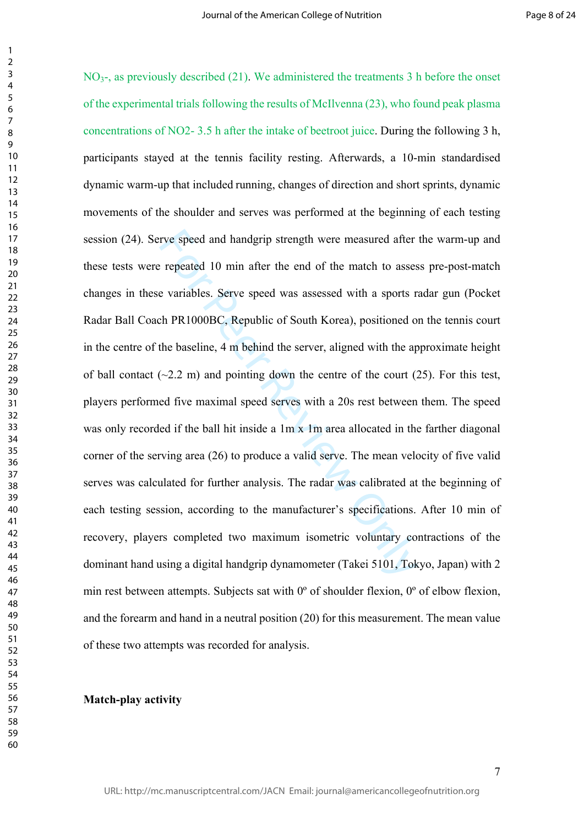rve speed and handgrip strength were measured after<br>repeated 10 min after the end of the match to asses<br>e variables. Serve speed was assessed with a sports r<br>th PR1000BC, Republic of South Korea), positioned of<br>the baseli NO<sub>3</sub>-, as previously described (21). We administered the treatments 3 h before the onset of the experimental trials following the results of McIlvenna (23), who found peak plasma concentrations of NO2- 3.5 h after the intake of beetroot juice. During the following 3 h, participants stayed at the tennis facility resting. Afterwards, a 10-min standardised dynamic warm-up that included running, changes of direction and short sprints, dynamic movements of the shoulder and serves was performed at the beginning of each testing session (24). Serve speed and handgrip strength were measured after the warm-up and these tests were repeated 10 min after the end of the match to assess pre-post-match changes in these variables. Serve speed was assessed with a sports radar gun (Pocket Radar Ball Coach PR1000BC, Republic of South Korea), positioned on the tennis court in the centre of the baseline, 4 m behind the server, aligned with the approximate height of ball contact  $(\sim 2.2 \text{ m})$  and pointing down the centre of the court  $(25)$ . For this test, players performed five maximal speed serves with a 20s rest between them. The speed was only recorded if the ball hit inside a 1m x 1m area allocated in the farther diagonal corner of the serving area (26) to produce a valid serve. The mean velocity of five valid serves was calculated for further analysis. The radar was calibrated at the beginning of each testing session, according to the manufacturer's specifications. After 10 min of recovery, players completed two maximum isometric voluntary contractions of the dominant hand using a digital handgrip dynamometer (Takei 5101, Tokyo, Japan) with 2 min rest between attempts. Subjects sat with 0º of shoulder flexion, 0º of elbow flexion, and the forearm and hand in a neutral position (20) for this measurement. The mean value of these two attempts was recorded for analysis.

#### **Match-play activity**

 $\mathbf{1}$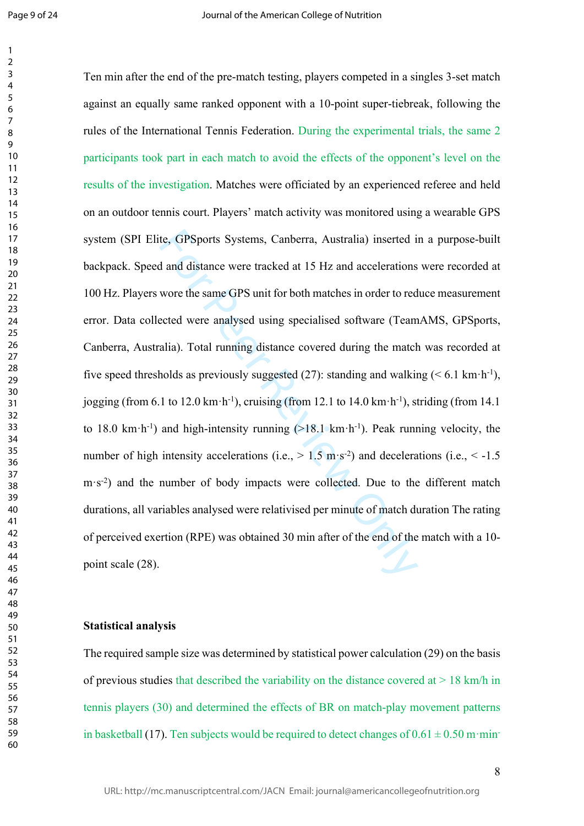$\mathbf{1}$  $\overline{2}$ 

te, GPSports Systems, Canberra, Australia) inserted i<br>d and distance were tracked at 15 Hz and accelerations<br>wore the same GPS unit for both matches in order to red<br>ected were analysed using specialised software (Team<br>ali Ten min after the end of the pre-match testing, players competed in a singles 3-set match against an equally same ranked opponent with a 10-point super-tiebreak, following the rules of the International Tennis Federation. During the experimental trials, the same 2 participants took part in each match to avoid the effects of the opponent's level on the results of the investigation. Matches were officiated by an experienced referee and held on an outdoor tennis court. Players' match activity was monitored using a wearable GPS system (SPI Elite, GPSports Systems, Canberra, Australia) inserted in a purpose-built backpack. Speed and distance were tracked at 15 Hz and accelerations were recorded at 100 Hz. Players wore the same GPS unit for both matches in order to reduce measurement error. Data collected were analysed using specialised software (TeamAMS, GPSports, Canberra, Australia). Total running distance covered during the match was recorded at five speed thresholds as previously suggested (27): standing and walking  $(< 6.1 \text{ km} \cdot \text{h}^{-1})$ , jogging (from 6.1 to 12.0 km·h<sup>-1</sup>), cruising (from 12.1 to 14.0 km·h<sup>-1</sup>), striding (from 14.1) to 18.0 km·h<sup>-1</sup>) and high-intensity running  $(>18.1 \text{ km} \cdot \text{h}^{-1})$ . Peak running velocity, the number of high intensity accelerations (i.e.,  $> 1.5$  m·s<sup>-2</sup>) and decelerations (i.e.,  $< -1.5$ ) m·s<sup>-2</sup>) and the number of body impacts were collected. Due to the different match durations, all variables analysed were relativised per minute of match duration The rating of perceived exertion (RPE) was obtained 30 min after of the end of the match with a 10 point scale  $(28)$ .

#### **Statistical analysis**

The required sample size was determined by statistical power calculation (29) on the basis of previous studies that described the variability on the distance covered at  $> 18$  km/h in tennis players (30) and determined the effects of BR on match-play movement patterns in basketball (17). Ten subjects would be required to detect changes of  $0.61 \pm 0.50$  m·min-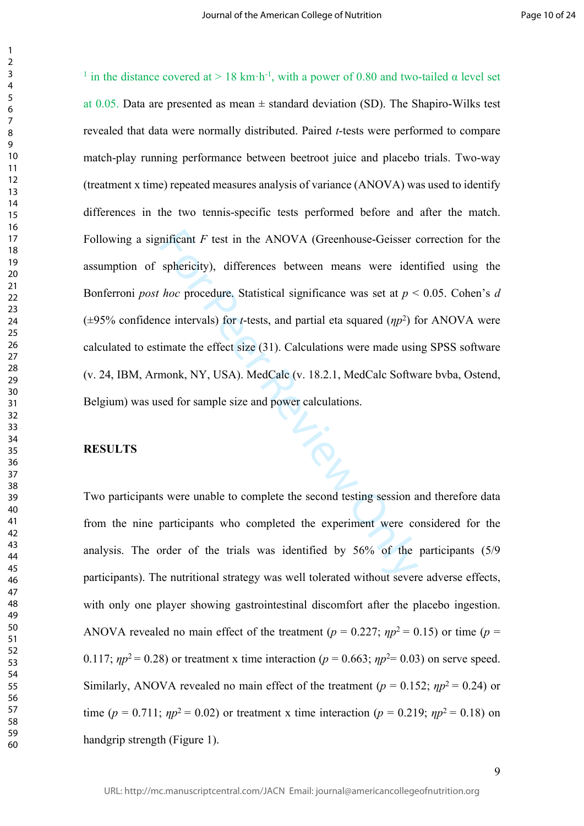mificant *F* test in the ANOVA (Greenhouse-Geisser c<br>sphericity), differences between means were iden<br>*hoc* procedure. Statistical significance was set at  $p <$ <br>ce intervals) for *t*-tests, and partial eta squared ( $\eta p^2$ <sup>1</sup> in the distance covered at > 18 km·h<sup>-1</sup>, with a power of 0.80 and two-tailed  $\alpha$  level set at 0.05. Data are presented as mean  $\pm$  standard deviation (SD). The Shapiro-Wilks test revealed that data were normally distributed. Paired *t*-tests were performed to compare match-play running performance between beetroot juice and placebo trials. Two-way (treatment x time) repeated measures analysis of variance (ANOVA) was used to identify differences in the two tennis-specific tests performed before and after the match. Following a significant F test in the ANOVA (Greenhouse-Geisser correction for the assumption of sphericity), differences between means were identified using the Bonferroni *post hoc* procedure. Statistical significance was set at  $p < 0.05$ . Cohen's *d*  $(\pm 95\%$  confidence intervals) for *t*-tests, and partial eta squared  $(\eta p^2)$  for ANOVA were calculated to estimate the effect size (31). Calculations were made using SPSS software (v. 24, IBM, Armonk, NY, USA). MedCalc (v. 18.2.1, MedCalc Software bvba, Ostend, Belgium) was used for sample size and power calculations.

#### **RESULTS**

 $\mathbf{1}$  $\overline{2}$  $\overline{3}$  $\overline{4}$  $\overline{7}$ 

Two participants were unable to complete the second testing session and therefore data from the nine participants who completed the experiment were considered for the analysis. The order of the trials was identified by 56% of the participants (5/9 participants). The nutritional strategy was well tolerated without severe adverse effects, with only one player showing gastrointestinal discomfort after the placebo ingestion. ANOVA revealed no main effect of the treatment ( $p = 0.227$ ;  $np^2 = 0.15$ ) or time ( $p =$ 0.117;  $np^2 = 0.28$ ) or treatment x time interaction ( $p = 0.663$ ;  $np^2 = 0.03$ ) on serve speed. Similarly, ANOVA revealed no main effect of the treatment ( $p = 0.152$ ;  $np^2 = 0.24$ ) or time ( $p = 0.711$ ;  $np^2 = 0.02$ ) or treatment x time interaction ( $p = 0.219$ ;  $np^2 = 0.18$ ) on handgrip strength (Figure 1).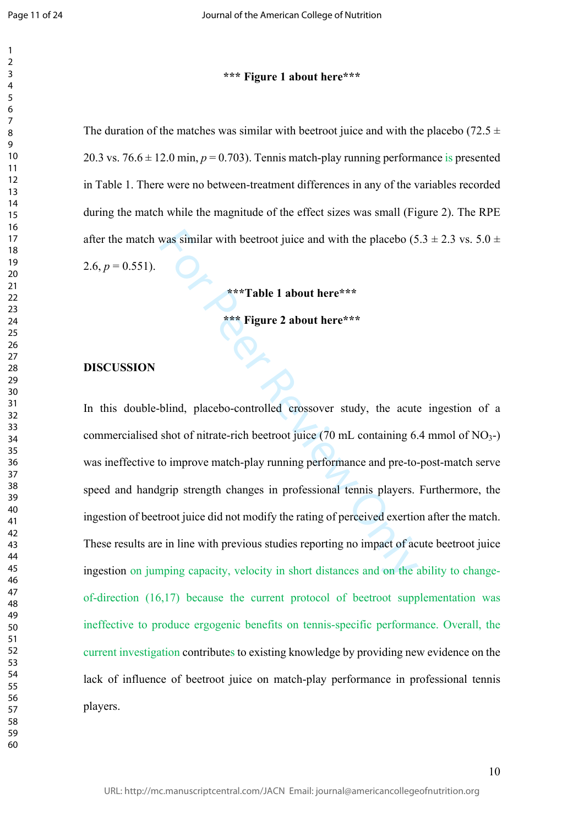$\mathbf{1}$ 

### **\*\*\* Figure 1 about here\*\*\***

The duration of the matches was similar with beetroot juice and with the placebo (72.5  $\pm$ 20.3 vs.  $76.6 \pm 12.0$  min,  $p = 0.703$ ). Tennis match-play running performance is presented in Table 1. There were no between-treatment differences in any of the variables recorded during the match while the magnitude of the effect sizes was small (Figure 2). The RPE after the match was similar with beetroot juice and with the placebo (5.3  $\pm$  2.3 vs. 5.0  $\pm$ 2.6,  $p = 0.551$ ).

**\*\*\*Table 1 about here\*\*\***

**\*\*\* Figure 2 about here\*\*\***

#### **DISCUSSION**

was similar with beetroot juice and with the placebo (5<br>\*\*\***Table 1 about here\*\*\***<br>\*\*\* **Figure 2 about here\*\*\***<br>\*\*\* **Figure 2 about here\*\*\***<br>blind, placebo-controlled crossover study, the acute<br>shot of nitrate-rich beetroo In this double-blind, placebo-controlled crossover study, the acute ingestion of a commercialised shot of nitrate-rich beetroot juice  $(70 \text{ mL containing } 6.4 \text{ mmol of NO}_3-)$ was ineffective to improve match-play running performance and pre-to-post-match serve speed and handgrip strength changes in professional tennis players. Furthermore, the ingestion of beetroot juice did not modify the rating of perceived exertion after the match. These results are in line with previous studies reporting no impact of acute beetroot juice ingestion on jumping capacity, velocity in short distances and on the ability to changeof-direction (16,17) because the current protocol of beetroot supplementation was ineffective to produce ergogenic benefits on tennis-specific performance. Overall, the current investigation contribute s to existing knowledge by providing new evidence on the lack of influence of beetroot juice on match-play performance in professional tennis players.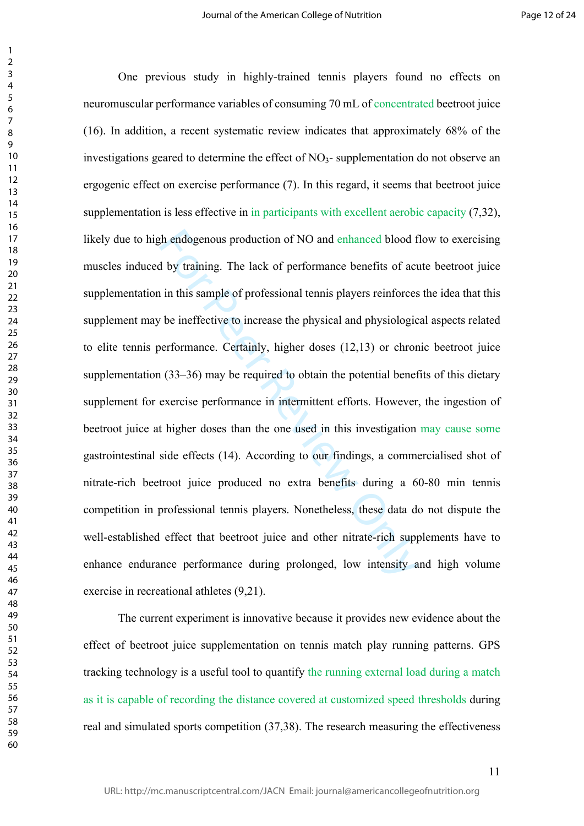th endogenous production of NO and enhanced blood f<br>by training. The lack of performance benefits of act<br>in this sample of professional tennis players reinforces<br>be ineffective to increase the physical and physiologic<br>verf One previous study in highly-trained tennis players found no effects on neuromuscular performance variables of consuming 70 mL of concentrated beetroot juice (16). In addition, a recent systematic review indicates that approximately 68% of the investigations geared to determine the effect of  $NO<sub>3</sub>$ - supplementation do not observe an ergogenic effect on exercise performance (7). In this regard, it seems that beetroot juice supplementation is less effective in in participants with excellent aerobic capacity (7,32), likely due to high endogenous production of NO and enhanced blood flow to exercising muscles induced by training. The lack of performance benefits of acute beetroot juice supplementation in this sample of professional tennis players reinforces the idea that this supplement may be ineffective to increase the physical and physiological aspects related to elite tennis performance. Certainly, higher doses (12,13) or chronic beetroot juice supplementation (33–36) may be required to obtain the potential benefits of this dietary supplement for exercise performance in intermittent efforts. However, the ingestion of beetroot juice at higher doses than the one used in this investigation may cause some gastrointestinal side effects (14). According to our findings, a commercialised shot of nitrate-rich beetroot juice produced no extra benefits during a 60-80 min tennis competition in professional tennis players. Nonetheless, these data do not dispute the well-established effect that beetroot juice and other nitrate-rich supplements have to enhance endurance performance during prolonged, low intensity and high volume exercise in recreational athletes (9,21).

The current experiment is innovative because it provides new evidence about the effect of beetroot juice supplementation on tennis match play running patterns. GPS tracking technology is a useful tool to quantify the running external load during a match as it is capable of recording the distance covered at customized speed thresholds during real and simulated sports competition (37,38). The research measuring the effectiveness

 $\mathbf{1}$  $\overline{2}$  $\overline{3}$  $\overline{4}$  $\overline{7}$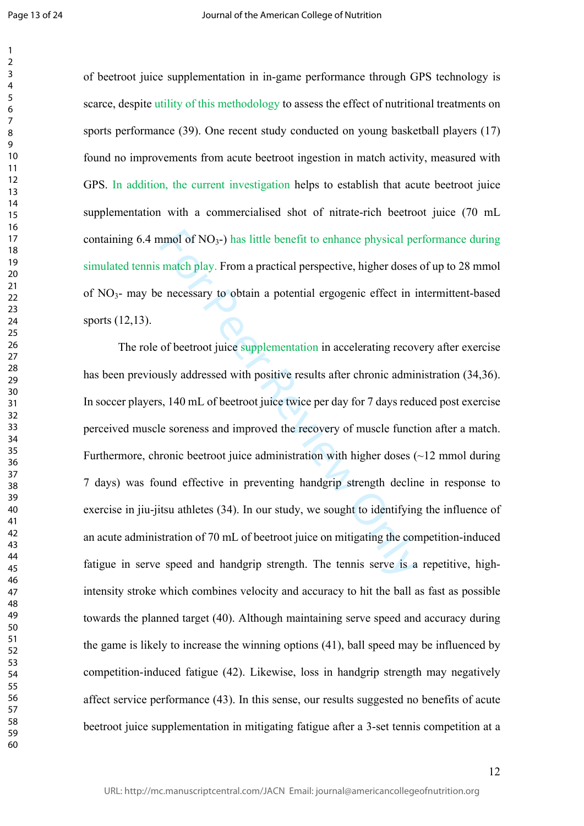$\mathbf{1}$  $\overline{2}$ 

of beetroot juice supplementation in in-game performance through GPS technology is scarce, despite utility of this methodology to assess the effect of nutritional treatments on sports performance (39). One recent study conducted on young basketball players (17) found no improvements from acute beetroot ingestion in match activity, measured with GPS. In addition, the current investigation helps to establish that acute beetroot juice supplementation with a commercialised shot of nitrate-rich beetroot juice (70 mL containing 6.4 mmol of NO <sup>3</sup>-) has little benefit to enhance physical performance during simulated tennis match play. From a practical perspective, higher doses of up to 28 mmol of NO <sup>3</sup>- may be necessary to obtain a potential ergogenic effect in intermittent-based sports (12,13).

nmol of NO<sub>3</sub>-) has little benefit to enhance physical pe<br>match play. From a practical perspective, higher doses<br>e necessary to obtain a potential ergogenic effect in i<br>of beetroot juice supplementation in accelerating rec The role of beetroot juice supplementation in accelerating recovery after exercise has been previously addressed with positive results after chronic administration (34,36). In soccer players, 140 mL of beetroot juice twice per day for 7 days reduced post exercise perceived muscle soreness and improved the recovery of muscle function after a match. Furthermore, chronic beetroot juice administration with higher doses (~12 mmol during 7 days) was found effective in preventing handgrip strength decline in response to exercise in jiu-jitsu athletes (34). In our study, we sought to identifying the influence of an acute administration of 70 mL of beetroot juice on mitigating the competition-induced fatigue in serve speed and handgrip strength. The tennis serve is a repetitive, highintensity stroke which combines velocity and accuracy to hit the ball as fast as possible towards the planned target (40). Although maintaining serve speed and accuracy during the game is likely to increase the winning options (41), ball speed may be influenced by competition-induced fatigue (42). Likewise, loss in handgrip strength may negatively affect service performance (43). In this sense, our results suggested no benefits of acute beetroot juice supplementation in mitigating fatigue after a 3-set tennis competition at a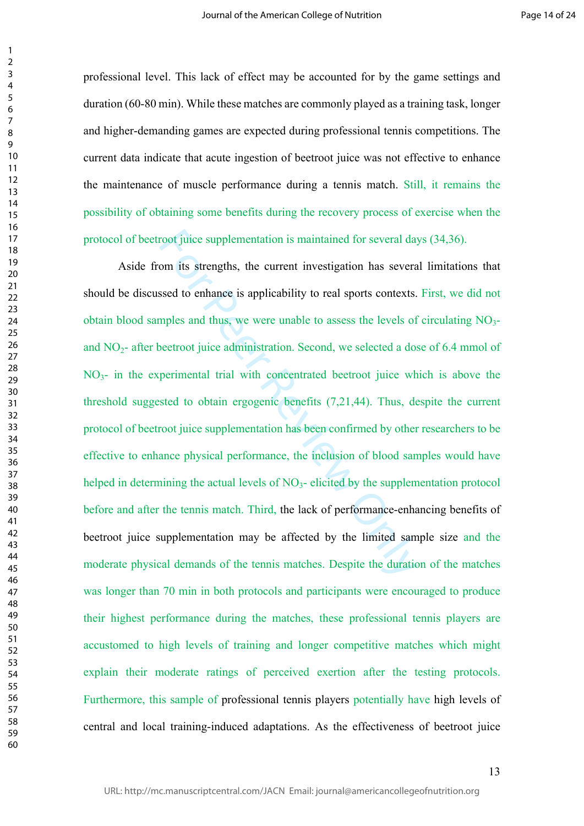professional level. This lack of effect may be accounted for by the game settings and duration (60-80 min). While these matches are commonly played as a training task, longer and higher-demanding games are expected during professional tennis competitions. The current data indicate that acute ingestion of beetroot juice was not effective to enhance the maintenance of muscle performance during a tennis match. Still, it remains the possibility of obtaining some benefits during the recovery process of exercise when the protocol of beetroot juice supplementation is maintained for several days (34,36).

root juice supplementation is maintained for several day<br>om its strengths, the current investigation has severa<br>ssed to enhance is applicability to real sports contexts.<br>suples and thus, we were unable to assess the level Aside from its strengths, the current investigation has several limitations that should be discussed to enhance is applicability to real sports contexts. First, we did not obtain blood samples and thus, we were unable to assess the levels of circulating NO 3 and NO <sup>2</sup>- after beetroot juice administration. Second, we selected a dose of 6.4 mmol of NO <sup>3</sup>- in the experimental trial with concentrated beetroot juice which is above the threshold suggested to obtain ergogenic benefits (7,21,44). Thus, despite the current protocol of beetroot juice supplementation has been confirmed by other researchers to be effective to enhance physical performance, the inclusion of blood samples would have helped in determining the actual levels of NO<sub>3</sub>-elicited by the supplementation protocol before and after the tennis match. Third, the lack of performance-enhancing benefits of beetroot juice supplementation may be affected by the limited sample size and the moderate physical demands of the tennis matches. Despite the duration of the matches was longer than 70 min in both protocols and participants were encouraged to produce their highest performance during the matches, these professional tennis players are accustomed to high levels of training and longer competitive matches which might explain their moderate ratings of perceived exertion after the testing protocols. Furthermore, this sample of professional tennis players potentially have high levels of central and local training-induced adaptations. As the effectiveness of beetroot juice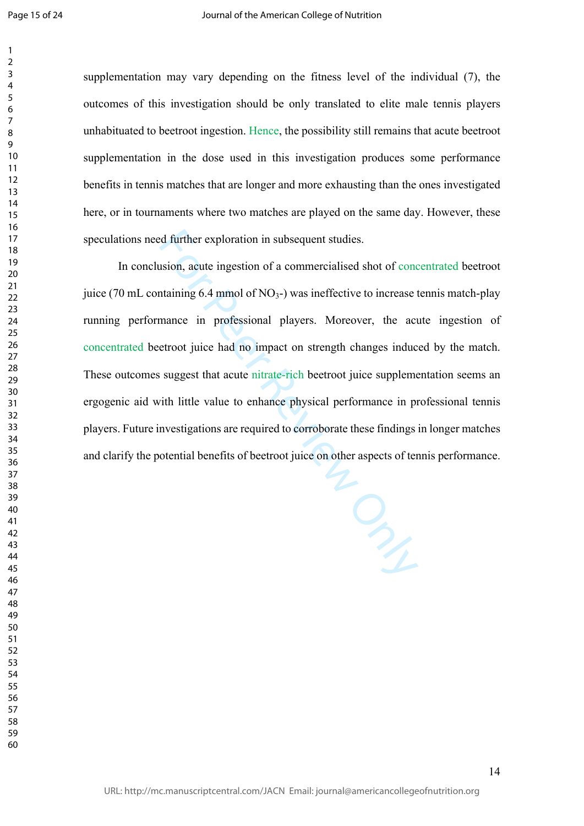$\mathbf{1}$  $\overline{2}$ 

supplementation may vary depending on the fitness level of the individual (7), the outcomes of this investigation should be only translated to elite male tennis players unhabituated to beetroot ingestion. Hence, the possibility still remains that acute beetroot supplementation in the dose used in this investigation produces some performance benefits in tennis matches that are longer and more exhausting than the ones investigated here, or in tournaments where two matches are played on the same day. However, these speculations need further exploration in subsequent studies.

In conclusion, acute ingestion of a commercialised shot of concentrated beetroot juice (70 mL containing 6.4 mmol of  $NO<sub>3</sub>$ -) was ineffective to increase tennis match-play running performance in professional players. Moreover, the acute ingestion of concentrated beetroot juice had no impact on strength changes induced by the match. These outcomes suggest that acute nitrate-rich beetroot juice supplementation seems an ergogenic aid with little value to enhance physical performance in professional tennis players. Future investigations are required to corroborate these findings in longer matches and clarify the potential benefits of beetroot juice on other aspects of tennis performance.

For Peer Review Only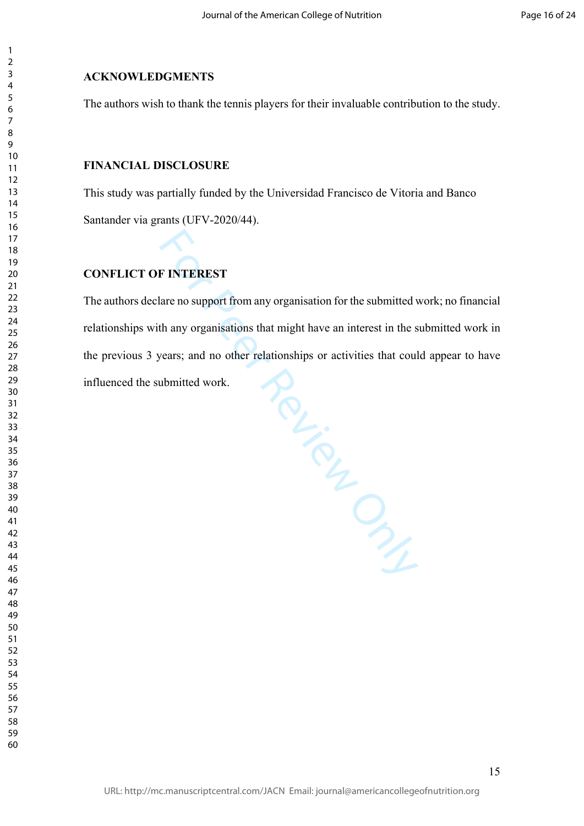## **ACKNOWLEDGMENTS**

 $\mathbf{1}$  $\overline{2}$  $\overline{4}$  $\overline{7}$ 

The authors wish to thank the tennis players for their invaluable contribution to the study.

## **FINANCIAL DISCLOSURE**

This study was partially funded by the Universidad Francisco de Vitoria and Banco Santander via grants (UFV-2020/44).

## **CONFLICT OF INTEREST**

Review Only The authors declare no support from any organisation for the submitted work; no financial relationships with any organisations that might have an interest in the submitted work in the previous 3 years; and no other relationships or activities that could appear to have influenced the submitted work.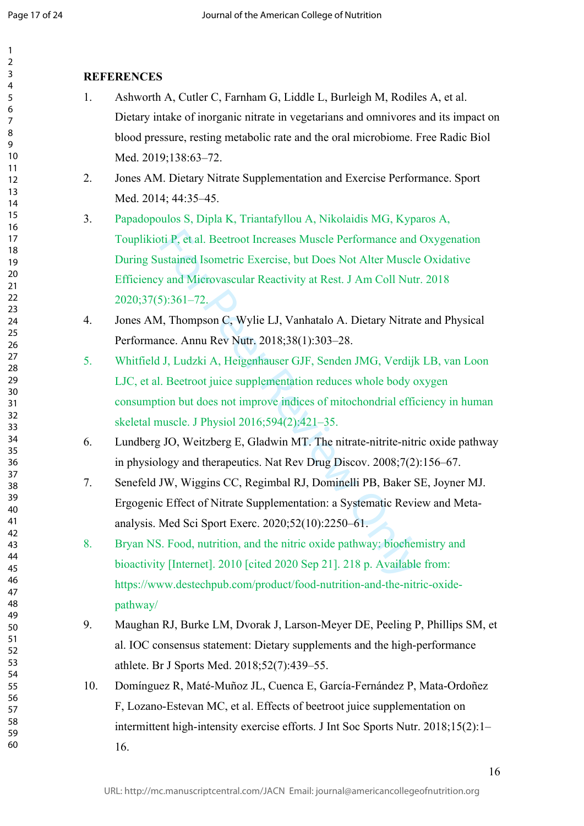$\mathbf{1}$  $\overline{2}$  $\overline{3}$  $\overline{4}$ 5 6  $\overline{7}$ 8 9

## **REFERENCES**

- 1. Ashworth A, Cutler C, Farnham G, Liddle L, Burleigh M, Rodiles A, et al. Dietary intake of inorganic nitrate in vegetarians and omnivores and its impact on blood pressure, resting metabolic rate and the oral microbiome. Free Radic Biol Med. 2019;138:63–72.
- 2. Jones AM. Dietary Nitrate Supplementation and Exercise Performance. Sport Med. 2014; 44:35–45.
- ti P, et al. Beetroot Increases Muscle Performance and<br>ustained Isometric Exercise, but Does Not Alter Muscle<br>y and Microvascular Reactivity at Rest. J Am Coll Nut<br>5):361–72.<br>**4, Thompson C, Wylie LJ, Vanhatalo A. Dietary** 3. Papadopoulos S, Dipla K, Triantafyllou A, Nikolaidis MG, Kyparos A, Touplikioti P, et al. Beetroot Increases Muscle Performance and Oxygenation During Sustained Isometric Exercise, but Does Not Alter Muscle Oxidative Efficiency and Microvascular Reactivity at Rest. J Am Coll Nutr. 2018 2020;37(5):361–72.
- 4. Jones AM, Thompson C, Wylie LJ, Vanhatalo A. Dietary Nitrate and Physical Performance. Annu Rev Nutr. 2018;38(1):303–28.
- 5. Whitfield J, Ludzki A, Heigenhauser GJF, Senden JMG, Verdijk LB, van Loon LJC, et al. Beetroot juice supplementation reduces whole body oxygen consumption but does not improve indices of mitochondrial efficiency in human skeletal muscle. J Physiol 2016;594(2):421–35.
- 6. Lundberg JO, Weitzberg E, Gladwin MT. The nitrate-nitrite-nitric oxide pathway in physiology and therapeutics. Nat Rev Drug Discov. 2008;7(2):156–67.
- 7. Senefeld JW, Wiggins CC, Regimbal RJ, Dominelli PB, Baker SE, Joyner MJ. Ergogenic Effect of Nitrate Supplementation: a Systematic Review and Metaanalysis. Med Sci Sport Exerc. 2020;52(10):2250–61.
- 8. Bryan NS. Food, nutrition, and the nitric oxide pathway: biochemistry and bioactivity [Internet]. 2010 [cited 2020 Sep 21]. 218 p. Available from: https://www.destechpub.com/product/food-nutrition-and-the-nitric-oxidepathway/
- 9. Maughan RJ, Burke LM, Dvorak J, Larson-Meyer DE, Peeling P, Phillips SM, et al. IOC consensus statement: Dietary supplements and the high-performance athlete. Br J Sports Med. 2018;52(7):439–55.
- 10. Domínguez R, Maté-Muñoz JL, Cuenca E, García-Fernández P, Mata-Ordoñez F, Lozano-Estevan MC, et al. Effects of beetroot juice supplementation on intermittent high-intensity exercise efforts. J Int Soc Sports Nutr. 2018;15(2):1– 16.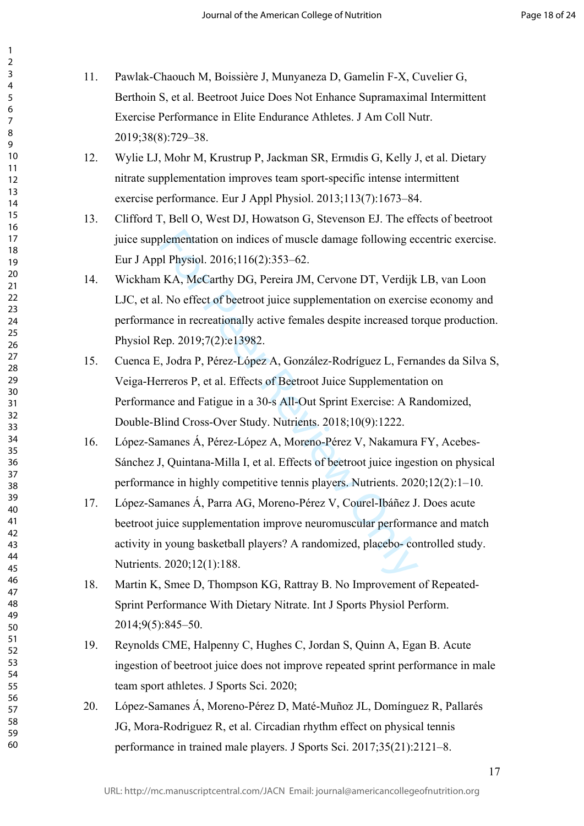| 1                                         |  |
|-------------------------------------------|--|
| 2                                         |  |
| 3                                         |  |
| 4                                         |  |
| 5                                         |  |
| 6                                         |  |
|                                           |  |
| 8                                         |  |
| 9                                         |  |
| 10                                        |  |
| 1                                         |  |
| $\mathbf{1}$                              |  |
| 1<br>$\overline{2}$                       |  |
| 3<br>1                                    |  |
| 1<br>4                                    |  |
| 15                                        |  |
| 16                                        |  |
| 1                                         |  |
| 18                                        |  |
| 19                                        |  |
| 20                                        |  |
| $\overline{21}$                           |  |
| $\overline{2}$<br>$\overline{2}$          |  |
| $^{23}$                                   |  |
| $\frac{24}{5}$                            |  |
| 25                                        |  |
|                                           |  |
| 26                                        |  |
| 27                                        |  |
| 28                                        |  |
| 29                                        |  |
| 30                                        |  |
| $\overline{\textbf{3}}$                   |  |
| $\overline{\mathbf{3}}$<br>$\overline{2}$ |  |
| $\overline{\mathbf{3}}$<br>ξ              |  |
| 34                                        |  |
| 35                                        |  |
| 36                                        |  |
| 37                                        |  |
| Ŗέ                                        |  |
| 39                                        |  |
|                                           |  |
| 40                                        |  |
| 41                                        |  |
| 4.<br>2                                   |  |
| $\overline{4}$<br>ξ                       |  |
| 44                                        |  |
| 45                                        |  |
| 46                                        |  |
| 4                                         |  |
| 48                                        |  |
| 49                                        |  |
| 50                                        |  |
| 51                                        |  |
| 5.<br>2                                   |  |
| $\overline{\mathbf{5}}$<br>ξ              |  |
| 54                                        |  |
|                                           |  |
| 55                                        |  |
| 56                                        |  |
| 57                                        |  |
| 58                                        |  |
| 59                                        |  |
| 60                                        |  |

 $\overline{1}$ 

- 11. Pawlak-Chaouch M, Boissière J, Munyaneza D, Gamelin F-X, Cuvelier G, Berthoin S, et al. Beetroot Juice Does Not Enhance Supramaximal Intermittent Exercise Performance in Elite Endurance Athletes. J Am Coll Nutr. 2019;38(8):729–38.
- 12. Wylie LJ, Mohr M, Krustrup P, Jackman SR, Ermιdis G, Kelly J, et al. Dietary nitrate supplementation improves team sport-specific intense intermittent exercise performance. Eur J Appl Physiol. 2013;113(7):1673–84.
- 13. Clifford T, Bell O, West DJ, Howatson G, Stevenson EJ. The effects of beetroot juice supplementation on indices of muscle damage following eccentric exercise. Eur J Appl Physiol. 2016;116(2):353–62.
- blementation on indices of muscle damage following ec<br>
bl Physiol. 2016;116(2):353–62.<br>
KA, McCarthy DG, Pereira JM, Cervone DT, Verdijk<br>
No effect of beetroot juice supplementation on exerci-<br>
nce in recreationally active 14. Wickham KA, McCarthy DG, Pereira JM, Cervone DT, Verdijk LB, van Loon LJC, et al. No effect of beetroot juice supplementation on exercise economy and performance in recreationally active females despite increased torque production. Physiol Rep. 2019;7(2):e13982.
- 15. Cuenca E, Jodra P, Pérez-López A, González-Rodríguez L, Fernandes da Silva S, Veiga-Herreros P, et al. Effects of Beetroot Juice Supplementation on Performance and Fatigue in a 30-s All-Out Sprint Exercise: A Randomized, Double-Blind Cross-Over Study. Nutrients. 2018;10(9):1222.
- 16. López-Samanes Á, Pérez-López A, Moreno-Pérez V, Nakamura FY, Acebes-Sánchez J, Quintana-Milla I, et al. Effects of beetroot juice ingestion on physical performance in highly competitive tennis players. Nutrients. 2020;12(2):1–10.
- 17. López-Samanes Á, Parra AG, Moreno-Pérez V, Courel-Ibáñez J. Does acute beetroot juice supplementation improve neuromuscular performance and match activity in young basketball players? A randomized, placebo- controlled study. Nutrients. 2020;12(1):188.
- 18. Martin K, Smee D, Thompson KG, Rattray B. No Improvement of Repeated-Sprint Performance With Dietary Nitrate. Int J Sports Physiol Perform. 2014;9(5):845–50.
- 19. Reynolds CME, Halpenny C, Hughes C, Jordan S, Quinn A, Egan B. Acute ingestion of beetroot juice does not improve repeated sprint performance in male team sport athletes. J Sports Sci. 2020;
- 20. López-Samanes Á, Moreno-Pérez D, Maté-Muñoz JL, Domínguez R, Pallarés JG, Mora-Rodriguez R, et al. Circadian rhythm effect on physical tennis performance in trained male players. J Sports Sci. 2017;35(21):2121–8.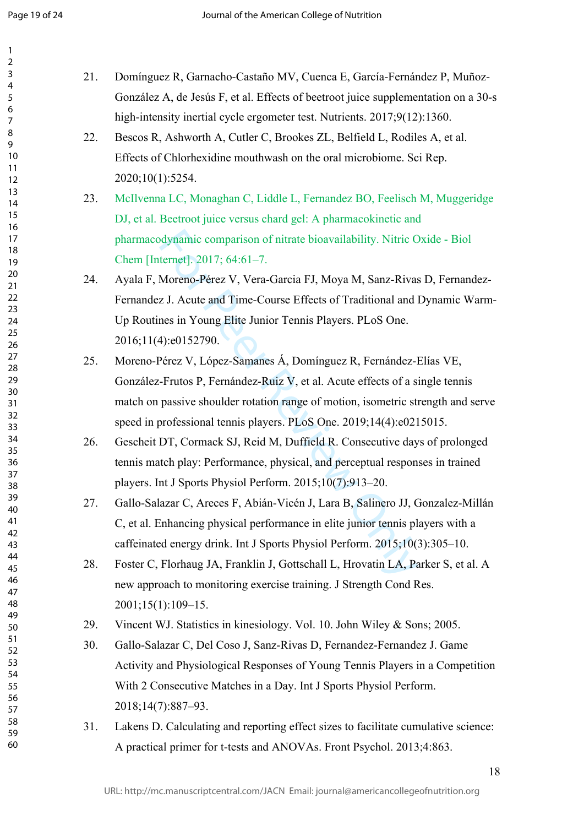$\mathbf{1}$  $\overline{2}$  $\overline{3}$  $\overline{4}$ 5 6  $\overline{7}$ 8 9

| 21. | Domínguez R, Garnacho-Castaño MV, Cuenca E, García-Fernández P, Muñoz-             |
|-----|------------------------------------------------------------------------------------|
|     | González A, de Jesús F, et al. Effects of beetroot juice supplementation on a 30-s |
|     | high-intensity inertial cycle ergometer test. Nutrients. 2017;9(12):1360.          |
| 22. | Bescos R, Ashworth A, Cutler C, Brookes ZL, Belfield L, Rodiles A, et al.          |
|     | Effects of Chlorhexidine mouthwash on the oral microbiome. Sci Rep.                |
|     | 2020;10(1):5254.                                                                   |
| 23. | McIlvenna LC, Monaghan C, Liddle L, Fernandez BO, Feelisch M, Muggeridge           |
|     | DJ, et al. Beetroot juice versus chard gel: A pharmacokinetic and                  |
|     | pharmacodynamic comparison of nitrate bioavailability. Nitric Oxide - Biol         |
|     | Chem [Internet]. 2017; 64:61-7.                                                    |
| 24. | Ayala F, Moreno-Pérez V, Vera-Garcia FJ, Moya M, Sanz-Rivas D, Fernandez-          |
|     | Fernandez J. Acute and Time-Course Effects of Traditional and Dynamic Warm-        |
|     | Up Routines in Young Elite Junior Tennis Players. PLoS One.                        |
|     | 2016;11(4):e0152790.                                                               |
| 25. | Moreno-Pérez V, López-Samanes Á, Domínguez R, Fernández-Elías VE,                  |
|     | González-Frutos P, Fernández-Ruiz V, et al. Acute effects of a single tennis       |
|     | match on passive shoulder rotation range of motion, isometric strength and serve   |
|     | speed in professional tennis players. PLoS One. 2019;14(4):e0215015.               |
| 26. | Gescheit DT, Cormack SJ, Reid M, Duffield R. Consecutive days of prolonged         |
|     | tennis match play: Performance, physical, and perceptual responses in trained      |
|     | players. Int J Sports Physiol Perform. 2015;10(7):913-20.                          |
| 27. | Gallo-Salazar C, Areces F, Abián-Vicén J, Lara B, Salinero JJ, Gonzalez-Millán     |
|     | C, et al. Enhancing physical performance in elite junior tennis players with a     |
|     | caffeinated energy drink. Int J Sports Physiol Perform. 2015;10(3):305-10.         |
| 28. | Foster C, Florhaug JA, Franklin J, Gottschall L, Hrovatin LA, Parker S, et al. A   |
|     | new approach to monitoring exercise training. J Strength Cond Res.                 |
|     | $2001;15(1):109-15.$                                                               |
| 29. | Vincent WJ. Statistics in kinesiology. Vol. 10. John Wiley & Sons; 2005.           |
| 30. | Gallo-Salazar C, Del Coso J, Sanz-Rivas D, Fernandez-Fernandez J. Game             |
|     | Activity and Physiological Responses of Young Tennis Players in a Competition      |
|     | With 2 Consecutive Matches in a Day. Int J Sports Physiol Perform.                 |
|     | 2018;14(7):887-93.                                                                 |
| 31. | Lakens D. Calculating and reporting effect sizes to facilitate cumulative science: |
|     | A practical primer for t-tests and ANOVAs. Front Psychol. 2013;4:863.              |
|     |                                                                                    |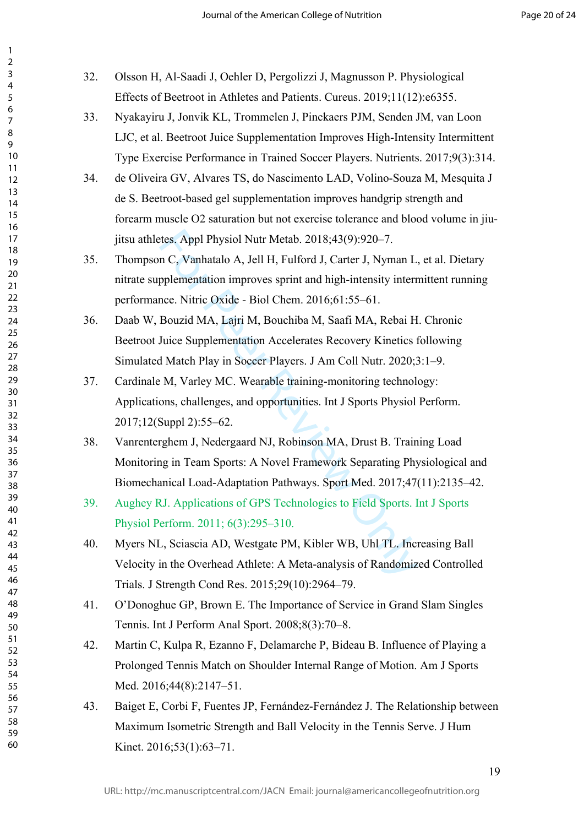| 32. | Olsson H, Al-Saadi J, Oehler D, Pergolizzi J, Magnusson P. Physiological         |
|-----|----------------------------------------------------------------------------------|
|     | Effects of Beetroot in Athletes and Patients. Cureus. 2019;11(12):e6355.         |
| 33. | Nyakayiru J, Jonvik KL, Trommelen J, Pinckaers PJM, Senden JM, van Loon          |
|     | LJC, et al. Beetroot Juice Supplementation Improves High-Intensity Intermittent  |
|     | Type Exercise Performance in Trained Soccer Players. Nutrients. 2017;9(3):314.   |
| 34. | de Oliveira GV, Alvares TS, do Nascimento LAD, Volino-Souza M, Mesquita J        |
|     | de S. Beetroot-based gel supplementation improves handgrip strength and          |
|     | forearm muscle O2 saturation but not exercise tolerance and blood volume in jiu- |
|     | jitsu athletes. Appl Physiol Nutr Metab. 2018;43(9):920-7.                       |
| 35. | Thompson C, Vanhatalo A, Jell H, Fulford J, Carter J, Nyman L, et al. Dietary    |
|     | nitrate supplementation improves sprint and high-intensity intermittent running  |
|     | performance. Nitric Oxide - Biol Chem. 2016;61:55-61.                            |
| 36. | Daab W, Bouzid MA, Lajri M, Bouchiba M, Saafi MA, Rebai H. Chronic               |
|     | Beetroot Juice Supplementation Accelerates Recovery Kinetics following           |
|     | Simulated Match Play in Soccer Players. J Am Coll Nutr. 2020;3:1-9.              |
| 37. | Cardinale M, Varley MC. Wearable training-monitoring technology:                 |
|     | Applications, challenges, and opportunities. Int J Sports Physiol Perform.       |
|     | 2017;12(Suppl 2):55-62.                                                          |
| 38. | Vanrenterghem J, Nedergaard NJ, Robinson MA, Drust B. Training Load              |
|     | Monitoring in Team Sports: A Novel Framework Separating Physiological and        |
|     | Biomechanical Load-Adaptation Pathways. Sport Med. 2017;47(11):2135-42.          |
| 39. | Aughey RJ. Applications of GPS Technologies to Field Sports. Int J Sports        |
|     | Physiol Perform. 2011; 6(3):295–310.                                             |
| 40. | Myers NL, Sciascia AD, Westgate PM, Kibler WB, Uhl TL. Increasing Ball           |
|     | Velocity in the Overhead Athlete: A Meta-analysis of Randomized Controlled       |
|     | Trials. J Strength Cond Res. 2015;29(10):2964–79.                                |
| 41. | O'Donoghue GP, Brown E. The Importance of Service in Grand Slam Singles          |
|     | Tennis. Int J Perform Anal Sport. 2008;8(3):70–8.                                |
| 42. | Martin C, Kulpa R, Ezanno F, Delamarche P, Bideau B. Influence of Playing a      |
|     | Prolonged Tennis Match on Shoulder Internal Range of Motion. Am J Sports         |
|     | Med. $2016;44(8):2147-51$ .                                                      |
| 43. | Baiget E, Corbi F, Fuentes JP, Fernández-Fernández J. The Relationship between   |
|     | Maximum Isometric Strength and Ball Velocity in the Tennis Serve. J Hum          |
|     | Kinet. 2016;53(1):63-71.                                                         |
|     | 19                                                                               |
|     |                                                                                  |

 $\mathbf{1}$ 

60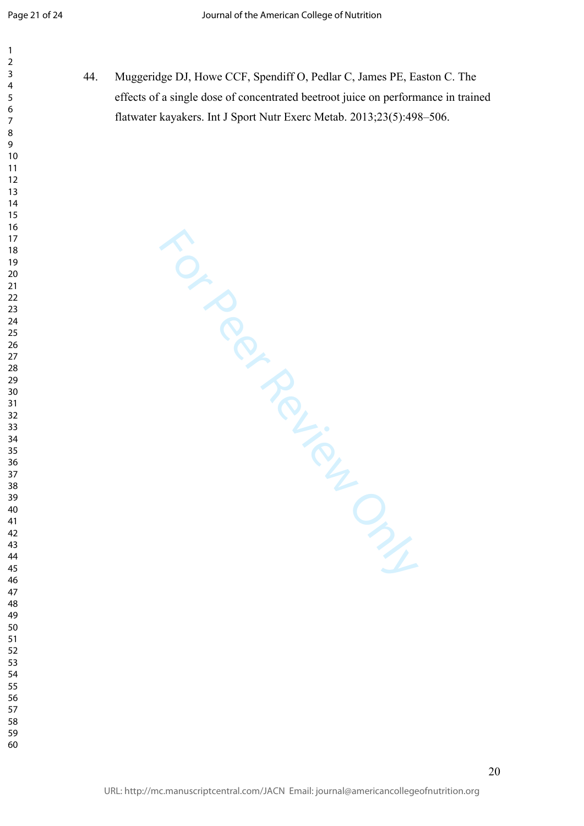$\mathbf{1}$  $\overline{2}$  $\overline{3}$  $\overline{4}$  $\overline{7}$ 

44. Muggeridge DJ, Howe CCF, Spendiff O, Pedlar C, James PE, Easton C. The effects of a single dose of concentrated beetroot juice on performance in trained flatwater kayakers. Int J Sport Nutr Exerc Metab. 2013;23(5):498–506.

TON PROVISING MICH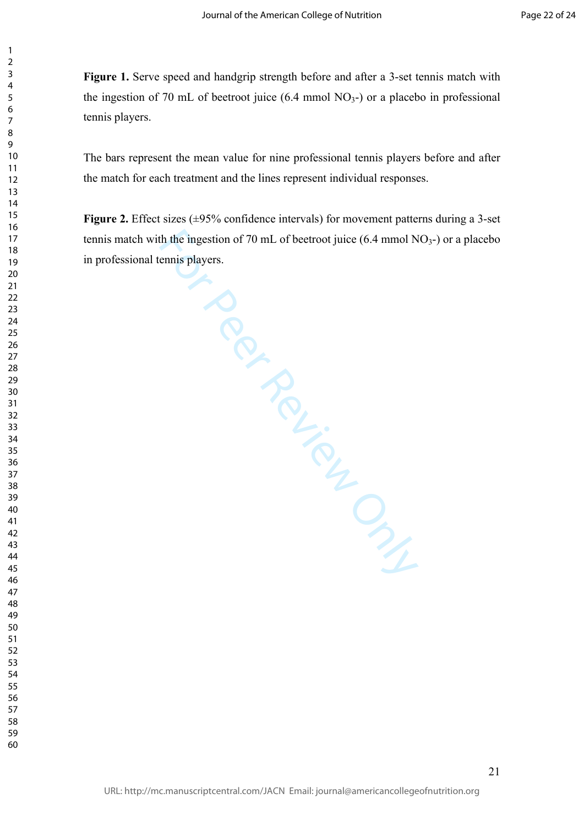**Figure 1.** Serve speed and handgrip strength before and after a 3-set tennis match with the ingestion of 70 mL of beetroot juice  $(6.4 \text{ mmol NO}_3)$  or a placebo in professional tennis players.

 $\mathbf{1}$  $\overline{2}$  $\overline{3}$  $\overline{4}$  $\overline{7}$ 

The bars represent the mean value for nine professional tennis players before and after the match for each treatment and the lines represent individual responses.

th the ingestion of 70 mL of beetroot juice (6.4 mmol N<br>ennis players. **Figure 2.** Effect sizes ( $\pm$ 95% confidence intervals) for movement patterns during a 3-set tennis match with the ingestion of 70 mL of beetroot juice  $(6.4 \text{ mmol NO}_3)$  or a placebo in professional tennis players.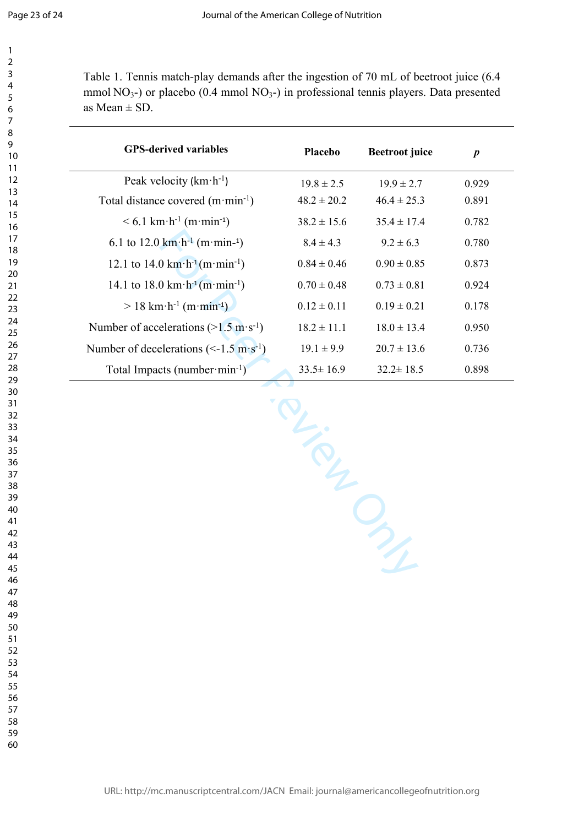$\mathbf{1}$  $\overline{2}$  $\overline{3}$  $\overline{4}$  $\overline{7}$ 

Table 1. Tennis match-play demands after the ingestion of 70 mL of beetroot juice (6.4 mmol  $NO<sub>3</sub>$ -) or placebo (0.4 mmol  $NO<sub>3</sub>$ -) in professional tennis players. Data presented as Mean  $\pm$  SD.

| <b>GPS-derived variables</b>                                             | Placebo         | <b>Beetroot</b> juice | $\boldsymbol{p}$ |
|--------------------------------------------------------------------------|-----------------|-----------------------|------------------|
| Peak velocity $(km \cdot h^{-1})$                                        | $19.8 \pm 2.5$  | $19.9 \pm 2.7$        | 0.929            |
| Total distance covered $(m \cdot min^{-1})$                              | $48.2 \pm 20.2$ | $46.4 \pm 25.3$       | 0.891            |
| $< 6.1 \text{ km} \cdot \text{h}^{-1} \text{ (m} \cdot \text{min}^{-1})$ | $38.2 \pm 15.6$ | $35.4 \pm 17.4$       | 0.782            |
| 6.1 to 12.0 $km \cdot h^{-1}$ (m $\cdot$ min- <sup>1</sup> )             | $8.4 \pm 4.3$   | $9.2 \pm 6.3$         | 0.780            |
| 12.1 to 14.0 $km \cdot h^{-1}(m \cdot min^{-1})$                         | $0.84 \pm 0.46$ | $0.90 \pm 0.85$       | 0.873            |
| 14.1 to 18.0 km $\cdot$ h <sup>-1</sup> (m $\cdot$ min <sup>-1</sup> )   | $0.70 \pm 0.48$ | $0.73 \pm 0.81$       | 0.924            |
| $> 18$ km·h <sup>-1</sup> (m·min <sup>-1</sup> )                         | $0.12 \pm 0.11$ | $0.19 \pm 0.21$       | 0.178            |
| Number of accelerations ( $>1.5$ m·s <sup>-1</sup> )                     | $18.2 \pm 11.1$ | $18.0 \pm 13.4$       | 0.950            |
| Number of decelerations ( $\le$ -1.5 m·s <sup>-1</sup> )                 | $19.1 \pm 9.9$  | $20.7 \pm 13.6$       | 0.736            |
| Total Impacts (number·min-1)                                             | $33.5 \pm 16.9$ | $32.2 \pm 18.5$       | 0.898            |
|                                                                          |                 |                       |                  |
|                                                                          |                 |                       |                  |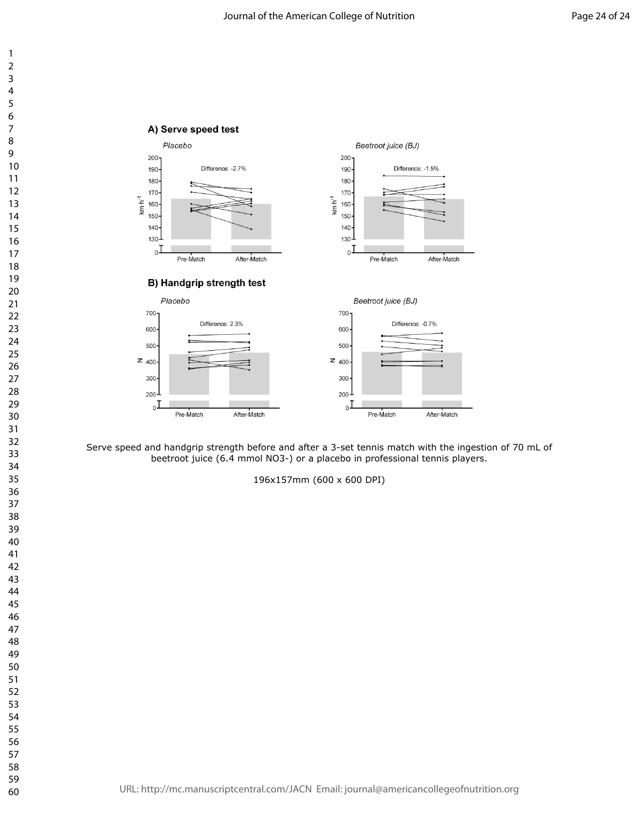